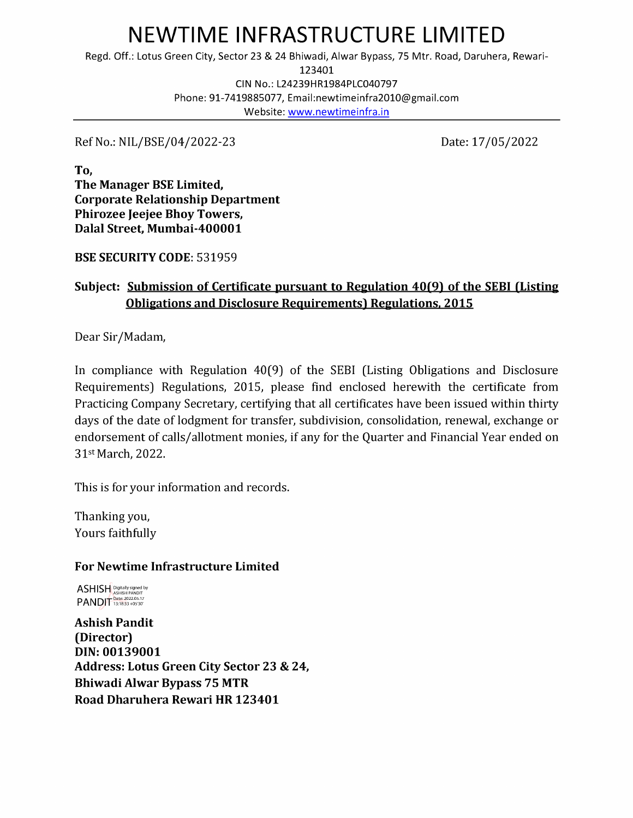# NEWTIME INFRASTRUCTURE LIMITED NEWTIME INFRAST<br>Regd. Off.: Lotus Green City, Sector 23 & 24 Bhiwa<br>123<br>CIN No.: L24239H<br>Phone: 91-7419885077, Email:<br>Website: <u>www.</u>

Regd. Off.: Lotus Green City, Sector 23 & 24 Bhiwadi, Alwar Bypass, 75 Mtr. Road, Daruhera, Rewari-

123401

CIN No.: L24239HR1984PLC040797

Phone: 91-7419885077, Email:newtimeinfra2010@gmail.com

Website: www.newtimeinfra.in

Ref No.: NIL/BSE/04/2022-23 Date: 17/05/2022

To, The Manager BSE Limited, Corporate Relationship Department Phirozee Jeejee Bhoy Towers, Dalal Street, Mumbai-400001

BSE SECURITY CODE: 531959

## Subject: Submission of Certificate pursuant to Regulation 40(9) of the SEBI (Listing Obligations and Disclosure Requirements) Regulations, 2015

Dear Sir/Madam,

In compliance with Regulation 40(9) of the SEBI (Listing Obligations and Disclosure Requirements) Regulations, 2015, please find enclosed herewith the certificate from Practicing Company Secretary, certifying that all certificates have been issued within thirty days of the date of lodgment for transfer, subdivision, consolidation, renewal, exchange or endorsement of calls/allotment monies, if any for the Quarter and Financial Year ended on 31st March, 2022.

This is for your information and records.

Thanking you, Yours faithfully

### For Newtime Infrastructure Limited

ASHISH Digitally signed by<br>PANDIT Date: 2022.05.17

Ashish Pandit (Director) DIN: 00139001 Address: Lotus Green City Sector 23 & 24, Bhiwadi Alwar Bypass 75 MTR Road Dharuhera Rewari HR 123401